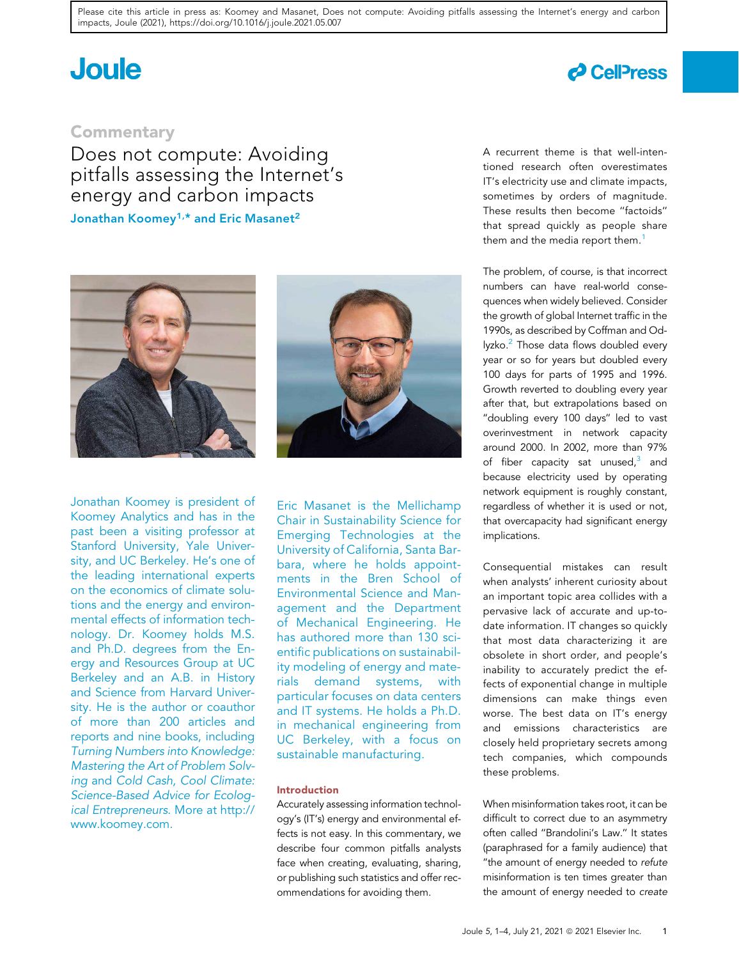# **Joule**

### **d** CellPress

### **Commentary**

Does not compute: Avoiding pitfalls assessing the Internet's energy and carbon impacts Jonathan Koomey<sup>1,\*</sup> and Eric Masanet<sup>2</sup>



Jonathan Koomey is president of Koomey Analytics and has in the past been a visiting professor at Stanford University, Yale University, and UC Berkeley. He's one of the leading international experts on the economics of climate solutions and the energy and environmental effects of information technology. Dr. Koomey holds M.S. and Ph.D. degrees from the Energy and Resources Group at UC Berkeley and an A.B. in History and Science from Harvard University. He is the author or coauthor of more than 200 articles and reports and nine books, including Turning Numbers into Knowledge: Mastering the Art of Problem Solving and Cold Cash, Cool Climate: Science-Based Advice for Ecological Entrepreneurs. More at http:// www.koomey.com.



Eric Masanet is the Mellichamp Chair in Sustainability Science for Emerging Technologies at the University of California, Santa Barbara, where he holds appointments in the Bren School of Environmental Science and Management and the Department of Mechanical Engineering. He has authored more than 130 scientific publications on sustainability modeling of energy and materials demand systems, with particular focuses on data centers and IT systems. He holds a Ph.D. in mechanical engineering from UC Berkeley, with a focus on sustainable manufacturing.

#### Introduction

Accurately assessing information technology's (IT's) energy and environmental effects is not easy. In this commentary, we describe four common pitfalls analysts face when creating, evaluating, sharing, or publishing such statistics and offer recommendations for avoiding them.

A recurrent theme is that well-intentioned research often overestimates IT's electricity use and climate impacts, sometimes by orders of magnitude. These results then become ''factoids'' that spread quickly as people share them and the media report them.<sup>1</sup>

The problem, of course, is that incorrect numbers can have real-world consequences when widely believed. Consider the growth of global Internet traffic in the 1990s, as described by Coffman and Odlyzko.<sup>2</sup> Those data flows doubled every year or so for years but doubled every 100 days for parts of 1995 and 1996. Growth reverted to doubling every year after that, but extrapolations based on "doubling every 100 days" led to vast overinvestment in network capacity around 2000. In 2002, more than 97% of fiber capacity sat unused,<sup>3</sup> and because electricity used by operating network equipment is roughly constant, regardless of whether it is used or not, that overcapacity had significant energy implications.

Consequential mistakes can result when analysts' inherent curiosity about an important topic area collides with a pervasive lack of accurate and up-todate information. IT changes so quickly that most data characterizing it are obsolete in short order, and people's inability to accurately predict the effects of exponential change in multiple dimensions can make things even worse. The best data on IT's energy and emissions characteristics are closely held proprietary secrets among tech companies, which compounds these problems.

When misinformation takes root, it can be difficult to correct due to an asymmetry often called ''Brandolini's Law.'' It states (paraphrased for a family audience) that ''the amount of energy needed to refute misinformation is ten times greater than the amount of energy needed to create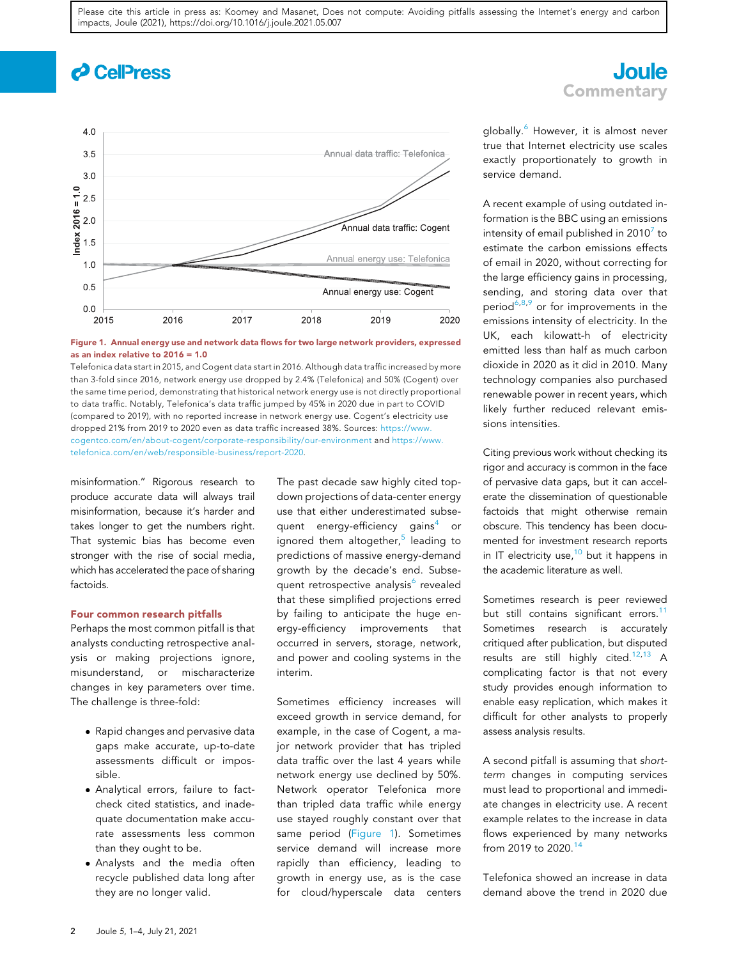## *c* CellPress



#### Figure 1. Annual energy use and network data flows for two large network providers, expressed as an index relative to 2016 = 1.0

Telefonica data start in 2015, and Cogent data start in 2016. Although data traffic increased by more than 3-fold since 2016, network energy use dropped by 2.4% (Telefonica) and 50% (Cogent) over the same time period, demonstrating that historical network energy use is not directly proportional to data traffic. Notably, Telefonica's data traffic jumped by 45% in 2020 due in part to COVID (compared to 2019), with no reported increase in network energy use. Cogent's electricity use dropped 21% from 2019 to 2020 even as data traffic increased 38%. Sources: https://www. cogentco.com/en/about-cogent/corporate-responsibility/our-environment and https://www. telefonica.com/en/web/responsible-business/report-2020.

misinformation.'' Rigorous research to produce accurate data will always trail misinformation, because it's harder and takes longer to get the numbers right. That systemic bias has become even stronger with the rise of social media, which has accelerated the pace of sharing factoids.

#### Four common research pitfalls

Perhaps the most common pitfall is that analysts conducting retrospective analysis or making projections ignore, misunderstand, or mischaracterize changes in key parameters over time. The challenge is three-fold:

- Rapid changes and pervasive data gaps make accurate, up-to-date assessments difficult or impossible.
- Analytical errors, failure to factcheck cited statistics, and inadequate documentation make accurate assessments less common than they ought to be.
- Analysts and the media often recycle published data long after they are no longer valid.

The past decade saw highly cited topdown projections of data-center energy use that either underestimated subsequent energy-efficiency gains<sup>4</sup> or ignored them altogether,<sup>5</sup> leading to predictions of massive energy-demand growth by the decade's end. Subsequent retrospective analysis<sup>6</sup> revealed that these simplified projections erred by failing to anticipate the huge energy-efficiency improvements that occurred in servers, storage, network, and power and cooling systems in the interim.

Sometimes efficiency increases will exceed growth in service demand, for example, in the case of Cogent, a major network provider that has tripled data traffic over the last 4 years while network energy use declined by 50%. Network operator Telefonica more than tripled data traffic while energy use stayed roughly constant over that same period (Figure 1). Sometimes service demand will increase more rapidly than efficiency, leading to growth in energy use, as is the case for cloud/hyperscale data centers

### **Joule Commentary**

globally.<sup>6</sup> However, it is almost never true that Internet electricity use scales exactly proportionately to growth in service demand.

A recent example of using outdated information is the BBC using an emissions intensity of email published in 2010 $^7$  to estimate the carbon emissions effects of email in 2020, without correcting for the large efficiency gains in processing, sending, and storing data over that period<sup>6,8,9</sup> or for improvements in the emissions intensity of electricity. In the UK, each kilowatt-h of electricity emitted less than half as much carbon dioxide in 2020 as it did in 2010. Many technology companies also purchased renewable power in recent years, which likely further reduced relevant emissions intensities.

Citing previous work without checking its rigor and accuracy is common in the face of pervasive data gaps, but it can accelerate the dissemination of questionable factoids that might otherwise remain obscure. This tendency has been documented for investment research reports in IT electricity use, $10$  but it happens in the academic literature as well.

Sometimes research is peer reviewed but still contains significant errors.<sup>11</sup> Sometimes research is accurately critiqued after publication, but disputed results are still highly cited.<sup>12,13</sup> A complicating factor is that not every study provides enough information to enable easy replication, which makes it difficult for other analysts to properly assess analysis results.

A second pitfall is assuming that shortterm changes in computing services must lead to proportional and immediate changes in electricity use. A recent example relates to the increase in data flows experienced by many networks from 2019 to 2020.<sup>14</sup>

Telefonica showed an increase in data demand above the trend in 2020 due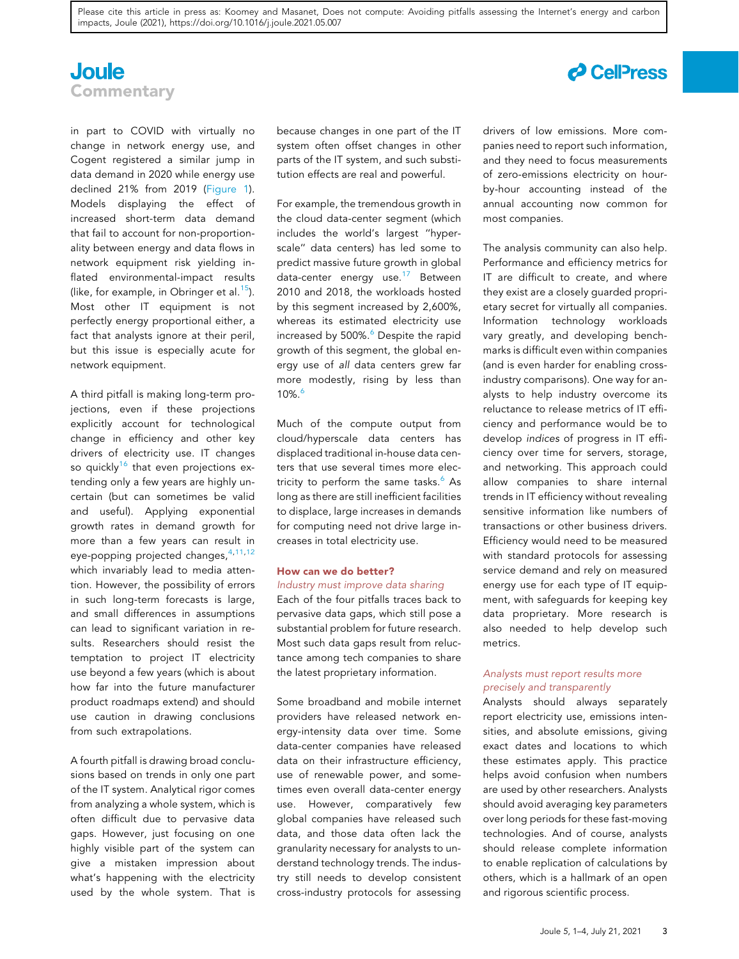### **Joule Commentary**

in part to COVID with virtually no change in network energy use, and Cogent registered a similar jump in data demand in 2020 while energy use declined 21% from 2019 (Figure 1). Models displaying the effect of increased short-term data demand that fail to account for non-proportionality between energy and data flows in network equipment risk yielding inflated environmental-impact results (like, for example, in Obringer et al.<sup>15</sup>). Most other IT equipment is not perfectly energy proportional either, a fact that analysts ignore at their peril, but this issue is especially acute for network equipment.

A third pitfall is making long-term projections, even if these projections explicitly account for technological change in efficiency and other key drivers of electricity use. IT changes so quickly<sup>16</sup> that even projections extending only a few years are highly uncertain (but can sometimes be valid and useful). Applying exponential growth rates in demand growth for more than a few years can result in eye-popping projected changes, 4,11,12 which invariably lead to media attention. However, the possibility of errors in such long-term forecasts is large, and small differences in assumptions can lead to significant variation in results. Researchers should resist the temptation to project IT electricity use beyond a few years (which is about how far into the future manufacturer product roadmaps extend) and should use caution in drawing conclusions from such extrapolations.

A fourth pitfall is drawing broad conclusions based on trends in only one part of the IT system. Analytical rigor comes from analyzing a whole system, which is often difficult due to pervasive data gaps. However, just focusing on one highly visible part of the system can give a mistaken impression about what's happening with the electricity used by the whole system. That is

because changes in one part of the IT system often offset changes in other parts of the IT system, and such substitution effects are real and powerful.

For example, the tremendous growth in the cloud data-center segment (which includes the world's largest ''hyperscale'' data centers) has led some to predict massive future growth in global data-center energy use.<sup>17</sup> Between 2010 and 2018, the workloads hosted by this segment increased by 2,600%, whereas its estimated electricity use increased by 500%.<sup>6</sup> Despite the rapid growth of this segment, the global energy use of all data centers grew far more modestly, rising by less than 10%.6

Much of the compute output from cloud/hyperscale data centers has displaced traditional in-house data centers that use several times more electricity to perform the same tasks. $6$  As long as there are still inefficient facilities to displace, large increases in demands for computing need not drive large increases in total electricity use.

#### How can we do better?

Industry must improve data sharing Each of the four pitfalls traces back to pervasive data gaps, which still pose a substantial problem for future research. Most such data gaps result from reluctance among tech companies to share the latest proprietary information.

Some broadband and mobile internet providers have released network energy-intensity data over time. Some data-center companies have released data on their infrastructure efficiency, use of renewable power, and sometimes even overall data-center energy use. However, comparatively few global companies have released such data, and those data often lack the granularity necessary for analysts to understand technology trends. The industry still needs to develop consistent cross-industry protocols for assessing drivers of low emissions. More companies need to report such information, and they need to focus measurements of zero-emissions electricity on hourby-hour accounting instead of the annual accounting now common for most companies.

The analysis community can also help. Performance and efficiency metrics for IT are difficult to create, and where they exist are a closely guarded proprietary secret for virtually all companies. Information technology workloads vary greatly, and developing benchmarks is difficult even within companies (and is even harder for enabling crossindustry comparisons). One way for analysts to help industry overcome its reluctance to release metrics of IT efficiency and performance would be to develop indices of progress in IT efficiency over time for servers, storage, and networking. This approach could allow companies to share internal trends in IT efficiency without revealing sensitive information like numbers of transactions or other business drivers. Efficiency would need to be measured with standard protocols for assessing service demand and rely on measured energy use for each type of IT equipment, with safeguards for keeping key data proprietary. More research is also needed to help develop such metrics.

#### Analysts must report results more precisely and transparently

Analysts should always separately report electricity use, emissions intensities, and absolute emissions, giving exact dates and locations to which these estimates apply. This practice helps avoid confusion when numbers are used by other researchers. Analysts should avoid averaging key parameters over long periods for these fast-moving technologies. And of course, analysts should release complete information to enable replication of calculations by others, which is a hallmark of an open and rigorous scientific process.